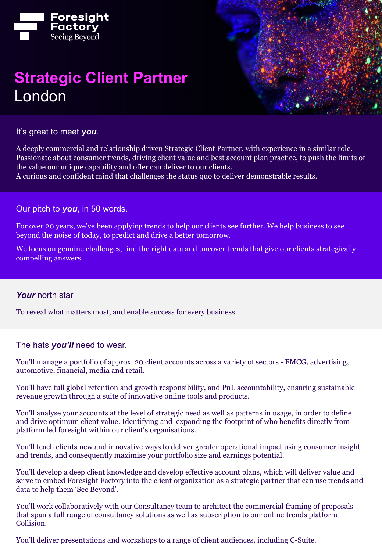

# **Strategic Client Partner** London



It's great to meet *you*.

A deeply commercial and relationship driven Strategic Client Partner, with experience in a similar role. Passionate about consumer trends, driving client value and best account plan practice, to push the limits of the value our unique capability and offer can deliver to our clients.

A curious and confident mind that challenges the status quo to deliver demonstrable results.

Our pitch to *you*, in 50 words.

For over 20 years, we've been applying trends to help our clients see further. We help business to see beyond the noise of today, to predict and drive a better tomorrow.

We focus on genuine challenges, find the right data and uncover trends that give our clients strategically compelling answers.

#### *Your* north star

To reveal what matters most, and enable success for every business.

The hats *you'll* need to wear.

You'll manage a portfolio of approx. 20 client accounts across a variety of sectors - FMCG, advertising, automotive, financial, media and retail.

You'll have full global retention and growth responsibility, and PnL accountability, ensuring sustainable revenue growth through a suite of innovative online tools and products.

You'll analyse your accounts at the level of strategic need as well as patterns in usage, in order to define and drive optimum client value. Identifying and expanding the footprint of who benefits directly from platform led foresight within our client's organisations.

You'll teach clients new and innovative ways to deliver greater operational impact using consumer insight and trends, and consequently maximise your portfolio size and earnings potential.

You'll develop a deep client knowledge and develop effective account plans, which will deliver value and serve to embed Foresight Factory into the client organization as a strategic partner that can use trends and data to help them 'See Beyond'.

You'll work collaboratively with our Consultancy team to architect the commercial framing of proposals that span a full range of consultancy solutions as well as subscription to our online trends platform Collision.

You'll deliver presentations and workshops to a range of client audiences, including C-Suite.